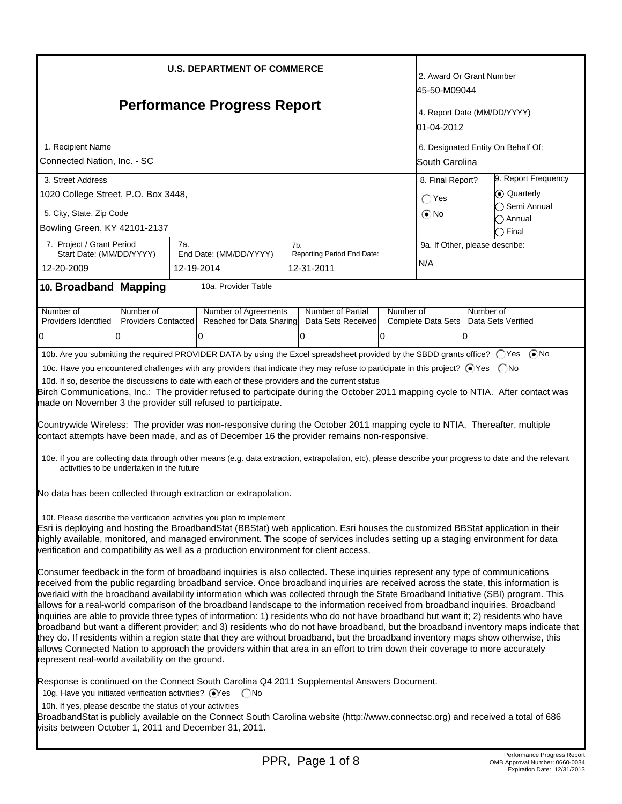| <b>U.S. DEPARTMENT OF COMMERCE</b><br><b>Performance Progress Report</b>                                                                                                                                                                                                                                                                                                                                                                                                                                                                                                                                                                                                                                                                                                                                                                                                                                                                                                                                                                                                                                                                            |                                           |                   |                                                                                                                                                                                                                                                                                                                                                                                                                                                                                                                                                                                                                                                                                                                                                                                                                                                                                                                                                                                                                                                                                                     |     |                                          |           |                                       | 2. Award Or Grant Number<br>45-50-M09044<br>4. Report Date (MM/DD/YYYY) |                                                                                              |  |
|-----------------------------------------------------------------------------------------------------------------------------------------------------------------------------------------------------------------------------------------------------------------------------------------------------------------------------------------------------------------------------------------------------------------------------------------------------------------------------------------------------------------------------------------------------------------------------------------------------------------------------------------------------------------------------------------------------------------------------------------------------------------------------------------------------------------------------------------------------------------------------------------------------------------------------------------------------------------------------------------------------------------------------------------------------------------------------------------------------------------------------------------------------|-------------------------------------------|-------------------|-----------------------------------------------------------------------------------------------------------------------------------------------------------------------------------------------------------------------------------------------------------------------------------------------------------------------------------------------------------------------------------------------------------------------------------------------------------------------------------------------------------------------------------------------------------------------------------------------------------------------------------------------------------------------------------------------------------------------------------------------------------------------------------------------------------------------------------------------------------------------------------------------------------------------------------------------------------------------------------------------------------------------------------------------------------------------------------------------------|-----|------------------------------------------|-----------|---------------------------------------|-------------------------------------------------------------------------|----------------------------------------------------------------------------------------------|--|
| 1. Recipient Name                                                                                                                                                                                                                                                                                                                                                                                                                                                                                                                                                                                                                                                                                                                                                                                                                                                                                                                                                                                                                                                                                                                                   |                                           |                   |                                                                                                                                                                                                                                                                                                                                                                                                                                                                                                                                                                                                                                                                                                                                                                                                                                                                                                                                                                                                                                                                                                     |     |                                          |           |                                       | 01-04-2012<br>6. Designated Entity On Behalf Of:                        |                                                                                              |  |
| Connected Nation, Inc. - SC                                                                                                                                                                                                                                                                                                                                                                                                                                                                                                                                                                                                                                                                                                                                                                                                                                                                                                                                                                                                                                                                                                                         |                                           |                   |                                                                                                                                                                                                                                                                                                                                                                                                                                                                                                                                                                                                                                                                                                                                                                                                                                                                                                                                                                                                                                                                                                     |     |                                          |           |                                       | South Carolina                                                          |                                                                                              |  |
| 3. Street Address                                                                                                                                                                                                                                                                                                                                                                                                                                                                                                                                                                                                                                                                                                                                                                                                                                                                                                                                                                                                                                                                                                                                   |                                           |                   |                                                                                                                                                                                                                                                                                                                                                                                                                                                                                                                                                                                                                                                                                                                                                                                                                                                                                                                                                                                                                                                                                                     |     |                                          |           | 8. Final Report?                      |                                                                         | 9. Report Frequency                                                                          |  |
| 1020 College Street, P.O. Box 3448,                                                                                                                                                                                                                                                                                                                                                                                                                                                                                                                                                                                                                                                                                                                                                                                                                                                                                                                                                                                                                                                                                                                 |                                           |                   |                                                                                                                                                                                                                                                                                                                                                                                                                                                                                                                                                                                                                                                                                                                                                                                                                                                                                                                                                                                                                                                                                                     |     |                                          |           |                                       |                                                                         | C Quarterly<br>◯ Semi Annual                                                                 |  |
| 5. City, State, Zip Code<br>Bowling Green, KY 42101-2137                                                                                                                                                                                                                                                                                                                                                                                                                                                                                                                                                                                                                                                                                                                                                                                                                                                                                                                                                                                                                                                                                            |                                           |                   |                                                                                                                                                                                                                                                                                                                                                                                                                                                                                                                                                                                                                                                                                                                                                                                                                                                                                                                                                                                                                                                                                                     |     |                                          |           |                                       |                                                                         | ∩ Annual<br>$\bigcirc$ Final                                                                 |  |
| 7. Project / Grant Period<br>Start Date: (MM/DD/YYYY)<br>12-20-2009                                                                                                                                                                                                                                                                                                                                                                                                                                                                                                                                                                                                                                                                                                                                                                                                                                                                                                                                                                                                                                                                                 |                                           | 7a.<br>12-19-2014 | End Date: (MM/DD/YYYY)                                                                                                                                                                                                                                                                                                                                                                                                                                                                                                                                                                                                                                                                                                                                                                                                                                                                                                                                                                                                                                                                              | 7b. | Reporting Period End Date:<br>12-31-2011 |           | 9a. If Other, please describe:<br>N/A |                                                                         |                                                                                              |  |
| 10. Broadband Mapping                                                                                                                                                                                                                                                                                                                                                                                                                                                                                                                                                                                                                                                                                                                                                                                                                                                                                                                                                                                                                                                                                                                               |                                           |                   | 10a. Provider Table                                                                                                                                                                                                                                                                                                                                                                                                                                                                                                                                                                                                                                                                                                                                                                                                                                                                                                                                                                                                                                                                                 |     |                                          |           |                                       |                                                                         |                                                                                              |  |
| Number of<br>Providers Identified                                                                                                                                                                                                                                                                                                                                                                                                                                                                                                                                                                                                                                                                                                                                                                                                                                                                                                                                                                                                                                                                                                                   | Number of<br><b>Providers Contacted</b>   |                   | Number of Agreements<br>Reached for Data Sharing                                                                                                                                                                                                                                                                                                                                                                                                                                                                                                                                                                                                                                                                                                                                                                                                                                                                                                                                                                                                                                                    |     | Number of Partial<br>Data Sets Received  | Number of | Complete Data Sets                    | Number of                                                               | Data Sets Verified                                                                           |  |
| 0                                                                                                                                                                                                                                                                                                                                                                                                                                                                                                                                                                                                                                                                                                                                                                                                                                                                                                                                                                                                                                                                                                                                                   | 10                                        |                   | 0                                                                                                                                                                                                                                                                                                                                                                                                                                                                                                                                                                                                                                                                                                                                                                                                                                                                                                                                                                                                                                                                                                   |     | 0                                        | IО        |                                       | 10                                                                      |                                                                                              |  |
|                                                                                                                                                                                                                                                                                                                                                                                                                                                                                                                                                                                                                                                                                                                                                                                                                                                                                                                                                                                                                                                                                                                                                     | activities to be undertaken in the future |                   | Birch Communications, Inc.: The provider refused to participate during the October 2011 mapping cycle to NTIA. After contact was<br>made on November 3 the provider still refused to participate.<br>Countrywide Wireless: The provider was non-responsive during the October 2011 mapping cycle to NTIA. Thereafter, multiple<br>contact attempts have been made, and as of December 16 the provider remains non-responsive.<br>10e. If you are collecting data through other means (e.g. data extraction, extrapolation, etc), please describe your progress to date and the relevant<br>No data has been collected through extraction or extrapolation.<br>10f. Please describe the verification activities you plan to implement<br>Esri is deploying and hosting the BroadbandStat (BBStat) web application. Esri houses the customized BBStat application in their<br>highly available, monitored, and managed environment. The scope of services includes setting up a staging environment for data<br>verification and compatibility as well as a production environment for client access. |     |                                          |           |                                       |                                                                         |                                                                                              |  |
| Consumer feedback in the form of broadband inquiries is also collected. These inquiries represent any type of communications<br>received from the public regarding broadband service. Once broadband inquiries are received across the state, this information is<br>overlaid with the broadband availability information which was collected through the State Broadband Initiative (SBI) program. This<br>allows for a real-world comparison of the broadband landscape to the information received from broadband inquiries. Broadband<br>inquiries are able to provide three types of information: 1) residents who do not have broadband but want it; 2) residents who have<br>broadband but want a different provider; and 3) residents who do not have broadband, but the broadband inventory maps indicate that<br>they do. If residents within a region state that they are without broadband, but the broadband inventory maps show otherwise, this<br>allows Connected Nation to approach the providers within that area in an effort to trim down their coverage to more accurately<br>represent real-world availability on the ground. |                                           |                   |                                                                                                                                                                                                                                                                                                                                                                                                                                                                                                                                                                                                                                                                                                                                                                                                                                                                                                                                                                                                                                                                                                     |     |                                          |           |                                       |                                                                         |                                                                                              |  |
| 10g. Have you initiated verification activities? ⊙Yes  CNo<br>10h. If yes, please describe the status of your activities<br>visits between October 1, 2011 and December 31, 2011.                                                                                                                                                                                                                                                                                                                                                                                                                                                                                                                                                                                                                                                                                                                                                                                                                                                                                                                                                                   |                                           |                   | Response is continued on the Connect South Carolina Q4 2011 Supplemental Answers Document.<br>BroadbandStat is publicly available on the Connect South Carolina website (http://www.connectsc.org) and received a total of 686                                                                                                                                                                                                                                                                                                                                                                                                                                                                                                                                                                                                                                                                                                                                                                                                                                                                      |     |                                          |           |                                       |                                                                         |                                                                                              |  |
|                                                                                                                                                                                                                                                                                                                                                                                                                                                                                                                                                                                                                                                                                                                                                                                                                                                                                                                                                                                                                                                                                                                                                     |                                           |                   |                                                                                                                                                                                                                                                                                                                                                                                                                                                                                                                                                                                                                                                                                                                                                                                                                                                                                                                                                                                                                                                                                                     |     | PPR, Page 1 of 8                         |           |                                       |                                                                         | Performance Progress Report<br>OMB Approval Number: 0660-0034<br>Expiration Date: 12/31/2013 |  |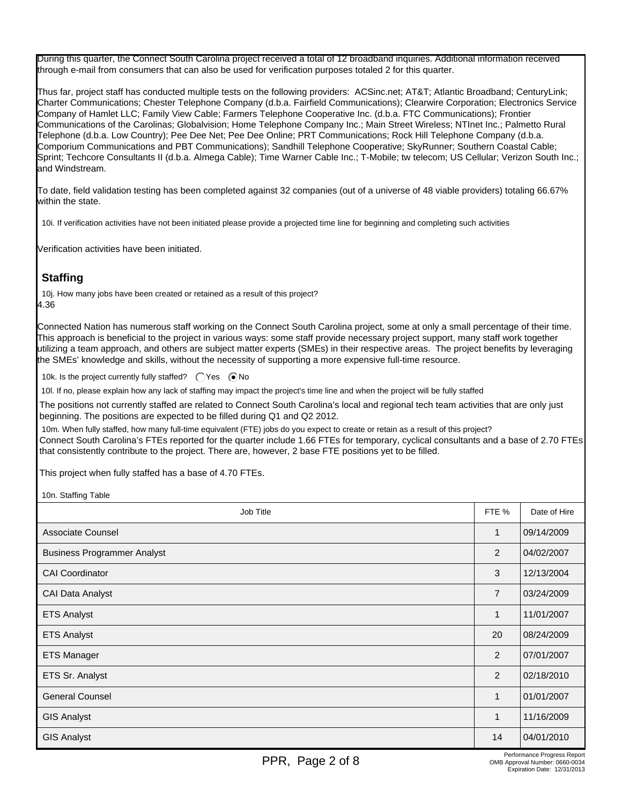During this quarter, the Connect South Carolina project received a total of 12 broadband inquiries. Additional information received through e-mail from consumers that can also be used for verification purposes totaled 2 for this quarter.

Thus far, project staff has conducted multiple tests on the following providers: ACSinc.net; AT&T; Atlantic Broadband; CenturyLink; Charter Communications; Chester Telephone Company (d.b.a. Fairfield Communications); Clearwire Corporation; Electronics Service Company of Hamlet LLC; Family View Cable; Farmers Telephone Cooperative Inc. (d.b.a. FTC Communications); Frontier Communications of the Carolinas; Globalvision; Home Telephone Company Inc.; Main Street Wireless; NTInet Inc.; Palmetto Rural Telephone (d.b.a. Low Country); Pee Dee Net; Pee Dee Online; PRT Communications; Rock Hill Telephone Company (d.b.a. Comporium Communications and PBT Communications); Sandhill Telephone Cooperative; SkyRunner; Southern Coastal Cable; Sprint; Techcore Consultants II (d.b.a. Almega Cable); Time Warner Cable Inc.; T-Mobile; tw telecom; US Cellular; Verizon South Inc.; and Windstream.

To date, field validation testing has been completed against 32 companies (out of a universe of 48 viable providers) totaling 66.67% within the state.

10i. If verification activities have not been initiated please provide a projected time line for beginning and completing such activities

Verification activities have been initiated.

# **Staffing**

10j. How many jobs have been created or retained as a result of this project? 4.36

Connected Nation has numerous staff working on the Connect South Carolina project, some at only a small percentage of their time. This approach is beneficial to the project in various ways: some staff provide necessary project support, many staff work together utilizing a team approach, and others are subject matter experts (SMEs) in their respective areas. The project benefits by leveraging the SMEs' knowledge and skills, without the necessity of supporting a more expensive full-time resource.

10k. Is the project currently fully staffed?  $\bigcap$  Yes  $\bigcirc$  No

10l. If no, please explain how any lack of staffing may impact the project's time line and when the project will be fully staffed

The positions not currently staffed are related to Connect South Carolina's local and regional tech team activities that are only just beginning. The positions are expected to be filled during Q1 and Q2 2012.

10m. When fully staffed, how many full-time equivalent (FTE) jobs do you expect to create or retain as a result of this project? Connect South Carolina's FTEs reported for the quarter include 1.66 FTEs for temporary, cyclical consultants and a base of 2.70 FTEs that consistently contribute to the project. There are, however, 2 base FTE positions yet to be filled.

This project when fully staffed has a base of 4.70 FTEs.

10n. Staffing Table

| Job Title                          | FTE %          | Date of Hire |
|------------------------------------|----------------|--------------|
| Associate Counsel                  | $\mathbf{1}$   | 09/14/2009   |
| <b>Business Programmer Analyst</b> | 2              | 04/02/2007   |
| <b>CAI Coordinator</b>             | 3              | 12/13/2004   |
| <b>CAI Data Analyst</b>            | $\overline{7}$ | 03/24/2009   |
| <b>ETS Analyst</b>                 | 1              | 11/01/2007   |
| <b>ETS Analyst</b>                 | 20             | 08/24/2009   |
| <b>ETS Manager</b>                 | 2              | 07/01/2007   |
| ETS Sr. Analyst                    | 2              | 02/18/2010   |
| <b>General Counsel</b>             | $\mathbf{1}$   | 01/01/2007   |
| <b>GIS Analyst</b>                 | $\mathbf{1}$   | 11/16/2009   |
| <b>GIS Analyst</b>                 | 14             | 04/01/2010   |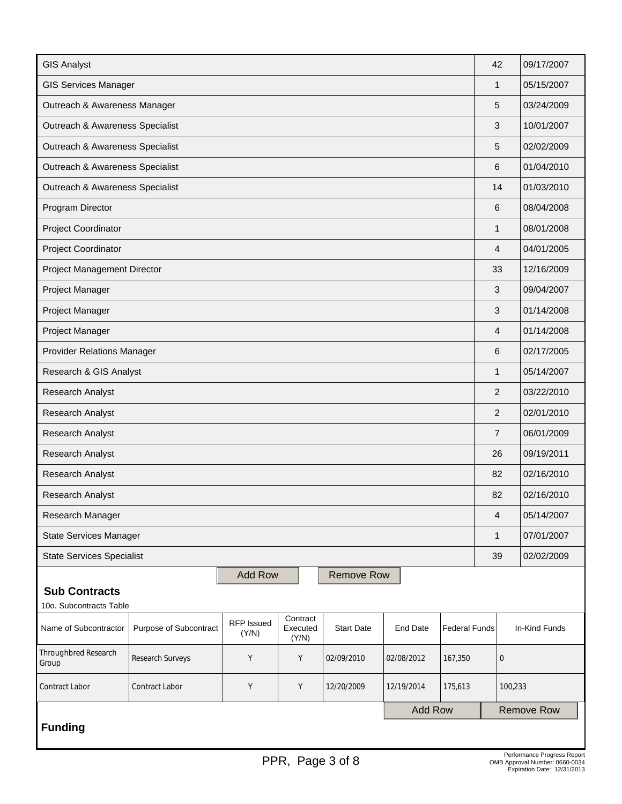| <b>GIS Analyst</b>                                                                       |                                                                                                                                                       |                |  |                   |                |  |                  | 42            | 09/17/2007                  |
|------------------------------------------------------------------------------------------|-------------------------------------------------------------------------------------------------------------------------------------------------------|----------------|--|-------------------|----------------|--|------------------|---------------|-----------------------------|
| <b>GIS Services Manager</b>                                                              |                                                                                                                                                       |                |  |                   |                |  |                  | $\mathbf{1}$  | 05/15/2007                  |
| Outreach & Awareness Manager                                                             |                                                                                                                                                       |                |  |                   |                |  |                  | 5             | 03/24/2009                  |
| Outreach & Awareness Specialist                                                          |                                                                                                                                                       |                |  |                   |                |  |                  | 3             | 10/01/2007                  |
| Outreach & Awareness Specialist                                                          |                                                                                                                                                       |                |  |                   |                |  |                  |               | 02/02/2009                  |
| Outreach & Awareness Specialist                                                          |                                                                                                                                                       |                |  |                   |                |  |                  |               | 01/04/2010                  |
| Outreach & Awareness Specialist                                                          |                                                                                                                                                       |                |  |                   |                |  |                  |               | 01/03/2010                  |
| Program Director                                                                         |                                                                                                                                                       |                |  |                   |                |  | 6                |               | 08/04/2008                  |
| Project Coordinator                                                                      |                                                                                                                                                       |                |  |                   |                |  | $\mathbf{1}$     |               | 08/01/2008                  |
| Project Coordinator                                                                      |                                                                                                                                                       |                |  |                   |                |  | $\overline{4}$   |               | 04/01/2005                  |
| Project Management Director                                                              |                                                                                                                                                       |                |  |                   |                |  | 33               |               | 12/16/2009                  |
| Project Manager                                                                          |                                                                                                                                                       |                |  |                   |                |  | 3                |               | 09/04/2007                  |
| Project Manager                                                                          |                                                                                                                                                       |                |  |                   |                |  | $\mathfrak{B}$   |               | 01/14/2008                  |
| Project Manager                                                                          |                                                                                                                                                       |                |  |                   |                |  | 4                |               | 01/14/2008                  |
| <b>Provider Relations Manager</b>                                                        |                                                                                                                                                       |                |  |                   |                |  |                  |               | 02/17/2005                  |
| Research & GIS Analyst                                                                   |                                                                                                                                                       |                |  |                   |                |  |                  |               | 05/14/2007                  |
| Research Analyst                                                                         |                                                                                                                                                       |                |  |                   |                |  |                  |               | 03/22/2010                  |
| Research Analyst                                                                         |                                                                                                                                                       |                |  |                   |                |  |                  |               | 02/01/2010                  |
| Research Analyst                                                                         |                                                                                                                                                       |                |  |                   |                |  |                  |               | 06/01/2009                  |
| Research Analyst                                                                         |                                                                                                                                                       |                |  |                   |                |  |                  |               | 09/19/2011                  |
| Research Analyst                                                                         |                                                                                                                                                       |                |  |                   |                |  | 82               |               | 02/16/2010                  |
| Research Analyst                                                                         |                                                                                                                                                       |                |  |                   |                |  | 82               |               | 02/16/2010                  |
| Research Manager                                                                         |                                                                                                                                                       |                |  |                   |                |  | $\overline{4}$   |               | 05/14/2007                  |
| <b>State Services Manager</b>                                                            |                                                                                                                                                       |                |  |                   |                |  | $\mathbf{1}$     |               | 07/01/2007                  |
| <b>State Services Specialist</b>                                                         |                                                                                                                                                       |                |  |                   |                |  | 39               |               | 02/02/2009                  |
| <b>Sub Contracts</b><br>10o. Subcontracts Table                                          |                                                                                                                                                       | <b>Add Row</b> |  | <b>Remove Row</b> |                |  |                  |               |                             |
| Name of Subcontractor                                                                    | Contract<br><b>RFP Issued</b><br>Executed<br>Purpose of Subcontract<br><b>Start Date</b><br><b>End Date</b><br><b>Federal Funds</b><br>(Y/N)<br>(Y/N) |                |  |                   |                |  |                  | In-Kind Funds |                             |
| Throughbred Research<br>Group                                                            | Research Surveys<br>Y<br>Y<br>02/09/2010<br>02/08/2012<br>167,350                                                                                     |                |  |                   |                |  | $\boldsymbol{0}$ |               |                             |
| <b>Contract Labor</b><br>Υ<br>Y<br>12/20/2009<br>Contract Labor<br>12/19/2014<br>175,613 |                                                                                                                                                       |                |  |                   |                |  |                  |               | 100,233                     |
| <b>Funding</b>                                                                           |                                                                                                                                                       |                |  |                   | <b>Add Row</b> |  |                  |               | <b>Remove Row</b>           |
|                                                                                          |                                                                                                                                                       |                |  |                   |                |  |                  |               | Performance Progress Report |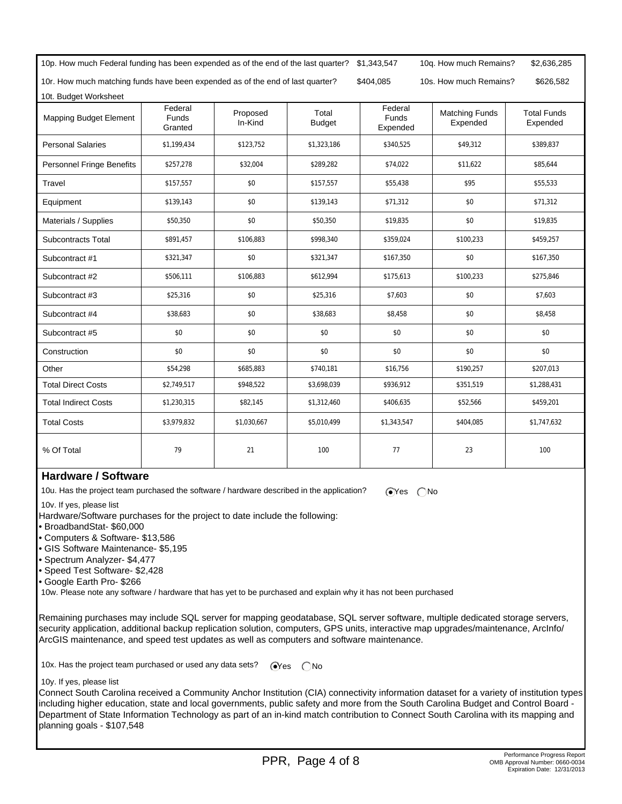| 10p. How much Federal funding has been expended as of the end of the last quarter?                                    |                                    |                     | \$1,343,547            | 10q. How much Remains?<br>\$2,636,285 |                                   |                                |  |  |  |
|-----------------------------------------------------------------------------------------------------------------------|------------------------------------|---------------------|------------------------|---------------------------------------|-----------------------------------|--------------------------------|--|--|--|
| 10r. How much matching funds have been expended as of the end of last quarter?<br>\$404,085<br>10s. How much Remains? |                                    |                     |                        |                                       |                                   |                                |  |  |  |
| 10t. Budget Worksheet                                                                                                 |                                    |                     |                        |                                       |                                   |                                |  |  |  |
| <b>Mapping Budget Element</b>                                                                                         | Federal<br><b>Funds</b><br>Granted | Proposed<br>In-Kind | Total<br><b>Budget</b> | Federal<br><b>Funds</b><br>Expended   | <b>Matching Funds</b><br>Expended | <b>Total Funds</b><br>Expended |  |  |  |
| <b>Personal Salaries</b>                                                                                              | \$1,199,434                        | \$123,752           | \$1,323,186            | \$340,525                             | \$49,312                          | \$389,837                      |  |  |  |
| <b>Personnel Fringe Benefits</b>                                                                                      | \$257,278                          | \$32,004            | \$289,282              | \$74,022                              | \$11,622                          | \$85,644                       |  |  |  |
| Travel                                                                                                                | \$157,557                          | \$0                 | \$157,557              | \$55,438                              | \$95                              | \$55,533                       |  |  |  |
| Equipment                                                                                                             | \$139,143                          | \$0                 | \$139,143              | \$71,312                              | \$0                               | \$71,312                       |  |  |  |
| Materials / Supplies                                                                                                  | \$50,350                           | \$0                 | \$50,350               | \$19,835                              | \$0                               | \$19,835                       |  |  |  |
| Subcontracts Total                                                                                                    | \$891,457                          | \$106,883           | \$998,340              | \$359,024                             | \$100,233                         | \$459,257                      |  |  |  |
| Subcontract #1                                                                                                        | \$321,347                          | \$0                 | \$321,347              | \$167,350                             | \$0                               | \$167,350                      |  |  |  |
| Subcontract #2                                                                                                        | \$506,111                          | \$106,883           | \$612,994              | \$175,613                             | \$100,233                         | \$275,846                      |  |  |  |
| Subcontract #3                                                                                                        | \$25,316                           | \$0                 | \$25,316               | \$7,603                               | \$0                               | \$7,603                        |  |  |  |
| Subcontract #4                                                                                                        | \$38,683                           | \$0                 | \$38,683               | \$8,458                               | \$0                               | \$8,458                        |  |  |  |
| Subcontract #5                                                                                                        | \$0                                | \$0                 | \$0                    | \$0                                   | \$0                               | \$0                            |  |  |  |
| Construction                                                                                                          | \$0                                | \$0                 | \$0                    | \$0                                   | \$0                               | \$0                            |  |  |  |
| Other                                                                                                                 | \$54,298                           | \$685,883           | \$740,181              | \$16,756                              | \$190,257                         | \$207,013                      |  |  |  |
| <b>Total Direct Costs</b>                                                                                             | \$2,749,517                        | \$948,522           | \$3,698,039            | \$936,912                             | \$351,519                         | \$1,288,431                    |  |  |  |
| <b>Total Indirect Costs</b>                                                                                           | \$1,230,315                        | \$82,145            | \$1,312,460            | \$406,635                             | \$52,566                          | \$459,201                      |  |  |  |
| <b>Total Costs</b>                                                                                                    | \$3,979,832                        | \$1,030,667         | \$5,010,499            | \$1,343,547                           | \$404,085                         | \$1,747,632                    |  |  |  |
| % Of Total                                                                                                            | 79                                 | 21                  | 100                    | 77                                    | 23                                | 100                            |  |  |  |

### **Hardware / Software**

10u. Has the project team purchased the software / hardware described in the application?  $\bigcirc$ Yes  $\bigcirc$ No

10v. If yes, please list

Hardware/Software purchases for the project to date include the following:

• BroadbandStat- \$60,000

- Computers & Software- \$13,586
- GIS Software Maintenance- \$5,195
- Spectrum Analyzer- \$4,477
- Speed Test Software- \$2,428
- Google Earth Pro- \$266

10w. Please note any software / hardware that has yet to be purchased and explain why it has not been purchased

Remaining purchases may include SQL server for mapping geodatabase, SQL server software, multiple dedicated storage servers, security application, additional backup replication solution, computers, GPS units, interactive map upgrades/maintenance, ArcInfo/ ArcGIS maintenance, and speed test updates as well as computers and software maintenance.

10x. Has the project team purchased or used any data sets?  $\bigcirc$ Yes  $\bigcirc$ No

10y. If yes, please list

Connect South Carolina received a Community Anchor Institution (CIA) connectivity information dataset for a variety of institution types including higher education, state and local governments, public safety and more from the South Carolina Budget and Control Board - Department of State Information Technology as part of an in-kind match contribution to Connect South Carolina with its mapping and planning goals - \$107,548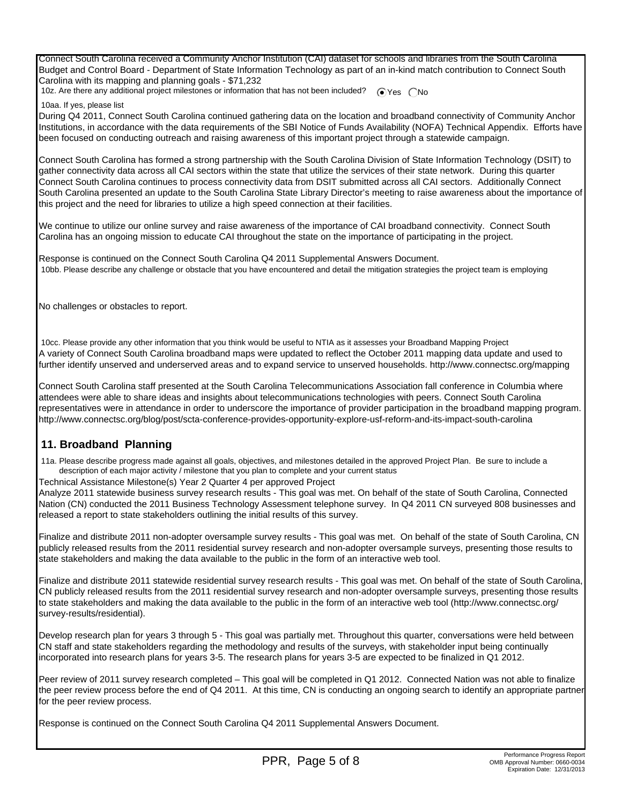Connect South Carolina received a Community Anchor Institution (CAI) dataset for schools and libraries from the South Carolina Budget and Control Board - Department of State Information Technology as part of an in-kind match contribution to Connect South Carolina with its mapping and planning goals - \$71,232

10z. Are there any additional project milestones or information that has not been included?  $\bigcirc$  Yes  $\bigcirc$  No

10aa. If yes, please list

During Q4 2011, Connect South Carolina continued gathering data on the location and broadband connectivity of Community Anchor Institutions, in accordance with the data requirements of the SBI Notice of Funds Availability (NOFA) Technical Appendix. Efforts have been focused on conducting outreach and raising awareness of this important project through a statewide campaign.

Connect South Carolina has formed a strong partnership with the South Carolina Division of State Information Technology (DSIT) to gather connectivity data across all CAI sectors within the state that utilize the services of their state network. During this quarter Connect South Carolina continues to process connectivity data from DSIT submitted across all CAI sectors. Additionally Connect South Carolina presented an update to the South Carolina State Library Director's meeting to raise awareness about the importance of this project and the need for libraries to utilize a high speed connection at their facilities.

We continue to utilize our online survey and raise awareness of the importance of CAI broadband connectivity. Connect South Carolina has an ongoing mission to educate CAI throughout the state on the importance of participating in the project.

Response is continued on the Connect South Carolina Q4 2011 Supplemental Answers Document. 10bb. Please describe any challenge or obstacle that you have encountered and detail the mitigation strategies the project team is employing

No challenges or obstacles to report.

 10cc. Please provide any other information that you think would be useful to NTIA as it assesses your Broadband Mapping Project A variety of Connect South Carolina broadband maps were updated to reflect the October 2011 mapping data update and used to further identify unserved and underserved areas and to expand service to unserved households. http://www.connectsc.org/mapping

Connect South Carolina staff presented at the South Carolina Telecommunications Association fall conference in Columbia where attendees were able to share ideas and insights about telecommunications technologies with peers. Connect South Carolina representatives were in attendance in order to underscore the importance of provider participation in the broadband mapping program. http://www.connectsc.org/blog/post/scta-conference-provides-opportunity-explore-usf-reform-and-its-impact-south-carolina

#### **11. Broadband Planning**

 11a. Please describe progress made against all goals, objectives, and milestones detailed in the approved Project Plan. Be sure to include a description of each major activity / milestone that you plan to complete and your current status

Technical Assistance Milestone(s) Year 2 Quarter 4 per approved Project

Analyze 2011 statewide business survey research results - This goal was met. On behalf of the state of South Carolina, Connected Nation (CN) conducted the 2011 Business Technology Assessment telephone survey. In Q4 2011 CN surveyed 808 businesses and released a report to state stakeholders outlining the initial results of this survey.

Finalize and distribute 2011 non-adopter oversample survey results - This goal was met. On behalf of the state of South Carolina, CN publicly released results from the 2011 residential survey research and non-adopter oversample surveys, presenting those results to state stakeholders and making the data available to the public in the form of an interactive web tool.

Finalize and distribute 2011 statewide residential survey research results - This goal was met. On behalf of the state of South Carolina, CN publicly released results from the 2011 residential survey research and non-adopter oversample surveys, presenting those results to state stakeholders and making the data available to the public in the form of an interactive web tool (http://www.connectsc.org/ survey-results/residential).

Develop research plan for years 3 through 5 - This goal was partially met. Throughout this quarter, conversations were held between CN staff and state stakeholders regarding the methodology and results of the surveys, with stakeholder input being continually incorporated into research plans for years 3-5. The research plans for years 3-5 are expected to be finalized in Q1 2012.

Peer review of 2011 survey research completed – This goal will be completed in Q1 2012. Connected Nation was not able to finalize the peer review process before the end of Q4 2011. At this time, CN is conducting an ongoing search to identify an appropriate partner for the peer review process.

Response is continued on the Connect South Carolina Q4 2011 Supplemental Answers Document.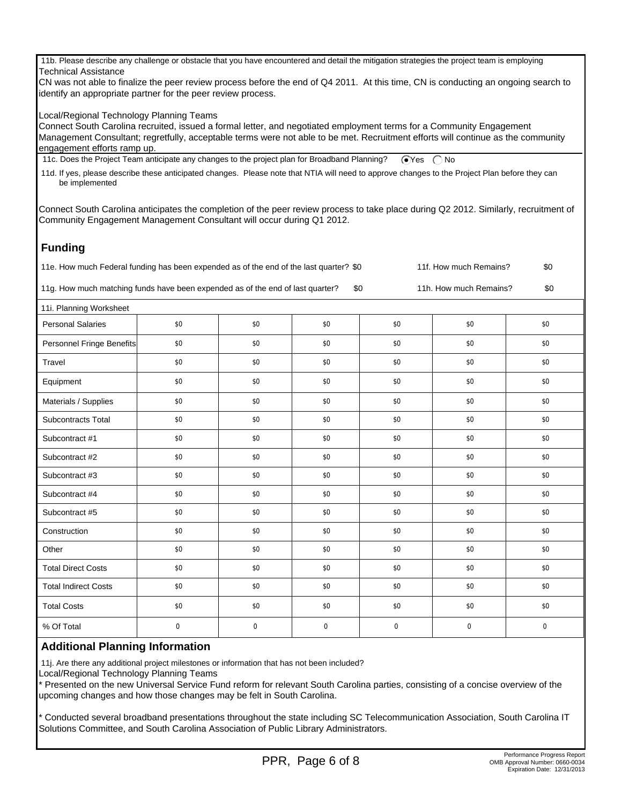11b. Please describe any challenge or obstacle that you have encountered and detail the mitigation strategies the project team is employing Technical Assistance

CN was not able to finalize the peer review process before the end of Q4 2011. At this time, CN is conducting an ongoing search to identify an appropriate partner for the peer review process.

Local/Regional Technology Planning Teams

Connect South Carolina recruited, issued a formal letter, and negotiated employment terms for a Community Engagement Management Consultant; regretfully, acceptable terms were not able to be met. Recruitment efforts will continue as the community engagement efforts ramp up.

11c. Does the Project Team anticipate any changes to the project plan for Broadband Planning?  $\bigcirc$ Yes  $\bigcirc$ No

 11d. If yes, please describe these anticipated changes. Please note that NTIA will need to approve changes to the Project Plan before they can be implemented

Connect South Carolina anticipates the completion of the peer review process to take place during Q2 2012. Similarly, recruitment of Community Engagement Management Consultant will occur during Q1 2012.

## **Funding**

11e. How much Federal funding has been expended as of the end of the last quarter? \$0 11f. How much Remains? \$0

11g. How much matching funds have been expended as of the end of last quarter? \$0 11h. How much Remains? \$0

| 11i. Planning Worksheet     |             |          |          |          |          |             |  |  |
|-----------------------------|-------------|----------|----------|----------|----------|-------------|--|--|
| <b>Personal Salaries</b>    | \$0         | \$0      | \$0      | \$0      | \$0      | \$0         |  |  |
| Personnel Fringe Benefits   | \$0         | \$0      | \$0      | \$0      | \$0      | \$0         |  |  |
| Travel                      | \$0         | \$0      | \$0      | \$0      | \$0      | \$0         |  |  |
| Equipment                   | \$0         | \$0      | \$0      | \$0      | \$0      | \$0         |  |  |
| Materials / Supplies        | \$0         | \$0      | \$0      | \$0      | \$0      | \$0         |  |  |
| Subcontracts Total          | \$0         | \$0      | \$0      | \$0      | \$0      | \$0         |  |  |
| Subcontract #1              | \$0         | \$0      | \$0      | \$0      | \$0      | \$0         |  |  |
| Subcontract #2              | \$0         | \$0      | \$0      | \$0      | \$0      | \$0         |  |  |
| Subcontract #3              | \$0         | \$0      | \$0      | \$0      | \$0      | \$0         |  |  |
| Subcontract #4              | \$0         | \$0      | \$0      | \$0      | \$0      | \$0         |  |  |
| Subcontract #5              | \$0         | \$0      | \$0      | \$0      | \$0      | \$0         |  |  |
| Construction                | \$0         | \$0      | \$0      | \$0      | \$0      | \$0         |  |  |
| Other                       | \$0         | \$0      | \$0      | \$0      | \$0      | \$0         |  |  |
| <b>Total Direct Costs</b>   | \$0         | \$0      | \$0      | \$0      | \$0      | \$0         |  |  |
| <b>Total Indirect Costs</b> | \$0         | \$0      | \$0      | \$0      | \$0      | \$0         |  |  |
| <b>Total Costs</b>          | \$0         | \$0      | \$0      | \$0      | \$0      | \$0         |  |  |
| % Of Total                  | $\mathbf 0$ | $\Omega$ | $\Omega$ | $\Omega$ | $\Omega$ | $\mathbf 0$ |  |  |

#### **Additional Planning Information**

11j. Are there any additional project milestones or information that has not been included?

Local/Regional Technology Planning Teams

\* Presented on the new Universal Service Fund reform for relevant South Carolina parties, consisting of a concise overview of the upcoming changes and how those changes may be felt in South Carolina.

\* Conducted several broadband presentations throughout the state including SC Telecommunication Association, South Carolina IT Solutions Committee, and South Carolina Association of Public Library Administrators.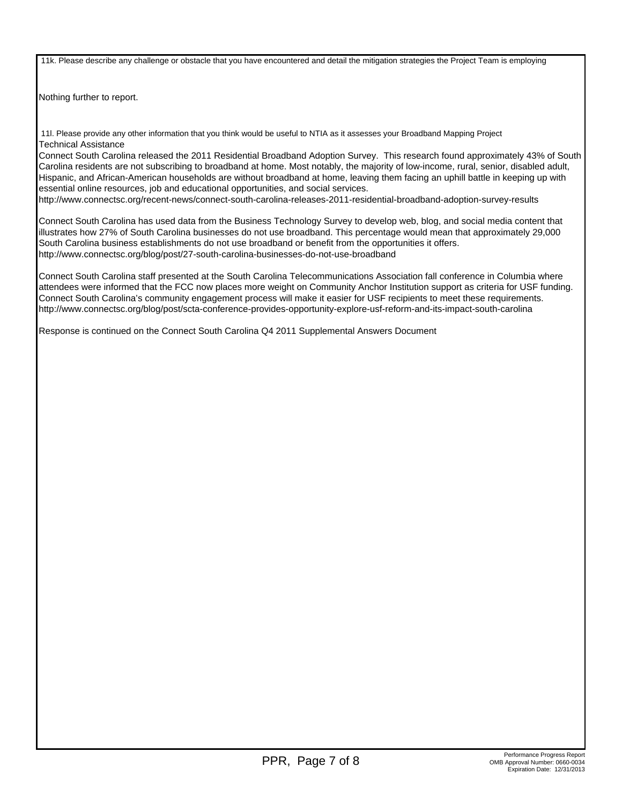11k. Please describe any challenge or obstacle that you have encountered and detail the mitigation strategies the Project Team is employing

Nothing further to report.

 11l. Please provide any other information that you think would be useful to NTIA as it assesses your Broadband Mapping Project Technical Assistance

Connect South Carolina released the 2011 Residential Broadband Adoption Survey. This research found approximately 43% of South Carolina residents are not subscribing to broadband at home. Most notably, the majority of low-income, rural, senior, disabled adult, Hispanic, and African-American households are without broadband at home, leaving them facing an uphill battle in keeping up with essential online resources, job and educational opportunities, and social services.

http://www.connectsc.org/recent-news/connect-south-carolina-releases-2011-residential-broadband-adoption-survey-results

Connect South Carolina has used data from the Business Technology Survey to develop web, blog, and social media content that illustrates how 27% of South Carolina businesses do not use broadband. This percentage would mean that approximately 29,000 South Carolina business establishments do not use broadband or benefit from the opportunities it offers. http://www.connectsc.org/blog/post/27-south-carolina-businesses-do-not-use-broadband

Connect South Carolina staff presented at the South Carolina Telecommunications Association fall conference in Columbia where attendees were informed that the FCC now places more weight on Community Anchor Institution support as criteria for USF funding. Connect South Carolina's community engagement process will make it easier for USF recipients to meet these requirements. http://www.connectsc.org/blog/post/scta-conference-provides-opportunity-explore-usf-reform-and-its-impact-south-carolina

Response is continued on the Connect South Carolina Q4 2011 Supplemental Answers Document